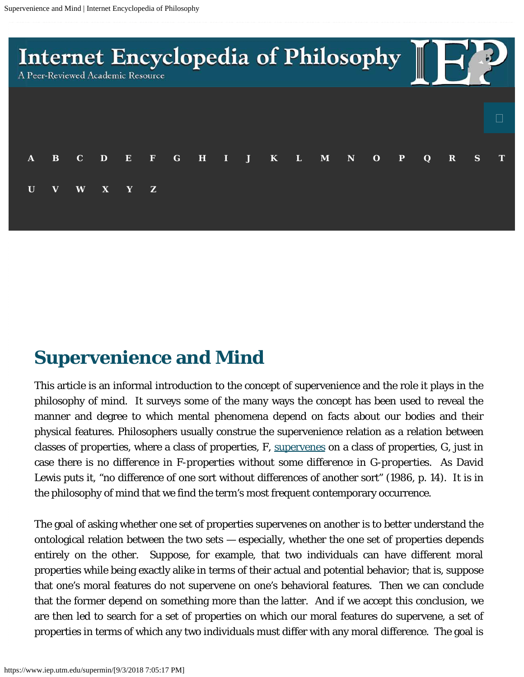

# **Supervenience and Mind**

This article is an informal introduction to the concept of supervenience and the role it plays in the philosophy of mind. It surveys some of the many ways the concept has been used to reveal the manner and degree to which mental phenomena depend on facts about our bodies and their physical features. Philosophers usually construe the supervenience relation as a relation between classes of *properties*, where a class of properties, F, [supervenes](https://www.iep.utm.edu/superven/) on a class of properties, G, just in case there is *no difference in F-properties without some difference in G-properties*. As David Lewis puts it, "no difference of one sort without differences of another sort" (1986, p. 14). It is in the philosophy of mind that we find the term's most frequent contemporary occurrence.

The goal of asking whether one set of properties supervenes on another is to better understand the ontological relation between the two sets — especially, whether the one set of properties depends entirely on the other. Suppose, for example, that two individuals can have different moral properties while being exactly alike in terms of their actual and potential behavior; that is, suppose that one's moral features do not supervene on one's behavioral features. Then we can conclude that the former depend on something more than the latter. And if we accept this conclusion, we are then led to search for a set of properties on which our moral features do supervene, a set of properties in terms of which any two individuals must differ with any moral difference. The goal is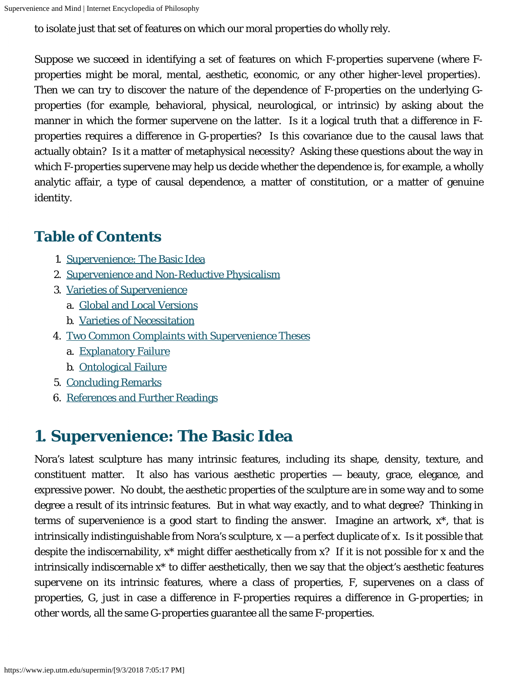to isolate just that set of features on which our moral properties do wholly rely.

Suppose we succeed in identifying a set of features on which F-properties supervene (where Fproperties might be moral, mental, aesthetic, economic, or any other higher-level properties). Then we can try to discover the nature of the dependence of F-properties on the underlying Gproperties (for example, behavioral, physical, neurological, or intrinsic) by asking about the manner in which the former supervene on the latter. Is it a logical truth that a difference in Fproperties requires a difference in G-properties? Is this covariance due to the causal laws that actually obtain? Is it a matter of metaphysical necessity? Asking these questions about the way in which F-properties supervene may help us decide whether the dependence is, for example, a wholly analytic affair, a type of causal dependence, a matter of constitution, or a matter of genuine identity.

#### **Table of Contents**

- 1. [Supervenience: The Basic Idea](#page-1-0)
- 2. [Supervenience and Non-Reductive Physicalism](#page-3-0)
- 3. [Varieties of Supervenience](#page-3-1)
	- a. [Global and Local Versions](#page-4-0)
	- b. [Varieties of Necessitation](#page-8-0)
- 4. [Two Common Complaints with Supervenience Theses](#page-12-0)
	- a. [Explanatory Failure](#page-12-1)
	- b. [Ontological Failure](#page-13-0)
- 5. [Concluding Remarks](#page-14-0)
- 6. [References and Further Readings](#page-15-0)

## <span id="page-1-0"></span>**1. Supervenience: The Basic Idea**

Nora's latest sculpture has many intrinsic features, including its shape, density, texture, and constituent matter. It also has various aesthetic properties — beauty, grace, elegance, and expressive power. No doubt, the aesthetic properties of the sculpture are in some way and to some degree a result of its intrinsic features. But in what way exactly, and to what degree? Thinking in terms of supervenience is a good start to finding the answer. Imagine an artwork, x\*, that is intrinsically indistinguishable from Nora's sculpture,  $x - a$  perfect duplicate of x. Is it possible that despite the indiscernability, x\* might differ aesthetically from x? If it is not possible for x and the intrinsically indiscernable x\* to differ aesthetically, then we say that the object's aesthetic features *supervene* on its intrinsic features, where a class of properties, F, supervenes on a class of properties, G, just in case a difference in F-properties requires a difference in G-properties; in other words, all the same G-properties guarantee all the same F-properties.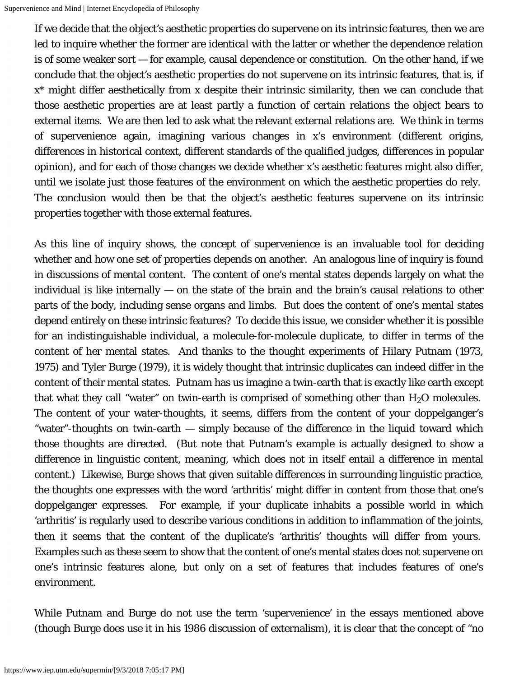If we decide that the object's aesthetic properties do supervene on its intrinsic features, then we are led to inquire whether the former are *identical* with the latter or whether the dependence relation is of some weaker sort — for example, causal dependence or constitution. On the other hand, if we conclude that the object's aesthetic properties do not supervene on its intrinsic features, that is, if x\* might differ aesthetically from x despite their intrinsic similarity, then we can conclude that those aesthetic properties are at least partly a function of certain relations the object bears to external items. We are then led to ask what the relevant external relations are. We think in terms of supervenience again, imagining various changes in x's environment (different origins, differences in historical context, different standards of the qualified judges, differences in popular opinion), and for each of those changes we decide whether x's aesthetic features might also differ, until we isolate just those features of the environment on which the aesthetic properties do rely. The conclusion would then be that the object's aesthetic features supervene on its intrinsic properties together with those external features.

As this line of inquiry shows, the concept of supervenience is an invaluable tool for deciding whether and how one set of properties depends on another. An analogous line of inquiry is found in discussions of *mental content*. The content of one's mental states depends largely on what the individual is like internally — on the state of the brain and the brain's causal relations to other parts of the body, including sense organs and limbs. But does the content of one's mental states depend entirely on these intrinsic features? To decide this issue, we consider whether it is possible for an indistinguishable individual, a molecule-for-molecule duplicate, to differ in terms of the content of her mental states. And thanks to the thought experiments of Hilary Putnam (1973, 1975) and Tyler Burge (1979), it is widely thought that intrinsic duplicates can indeed differ in the content of their mental states. Putnam has us imagine a twin-earth that is exactly like earth except that what they call "water" on twin-earth is comprised of something other than  $\rm H_2O$  molecules. The content of your water-thoughts, it seems, differs from the content of your doppelganger's "water"-thoughts on twin-earth — simply because of the difference in the liquid toward which those thoughts are directed. (But note that Putnam's example is actually designed to show a difference in *linguistic* content, *meaning*, which does not in itself entail a difference in mental content.) Likewise, Burge shows that given suitable differences in surrounding linguistic practice, the thoughts one expresses with the word 'arthritis' might differ in content from those that one's doppelganger expresses. For example, if your duplicate inhabits a possible world in which 'arthritis' is regularly used to describe various conditions in addition to inflammation of the joints, then it seems that the content of the duplicate's 'arthritis' thoughts will differ from yours. Examples such as these seem to show that the content of one's mental states does not supervene on one's intrinsic features alone, but only on a set of features that includes features of one's environment.

While Putnam and Burge do not use the term 'supervenience' in the essays mentioned above (though Burge does use it in his 1986 discussion of externalism), it is clear that the concept of "no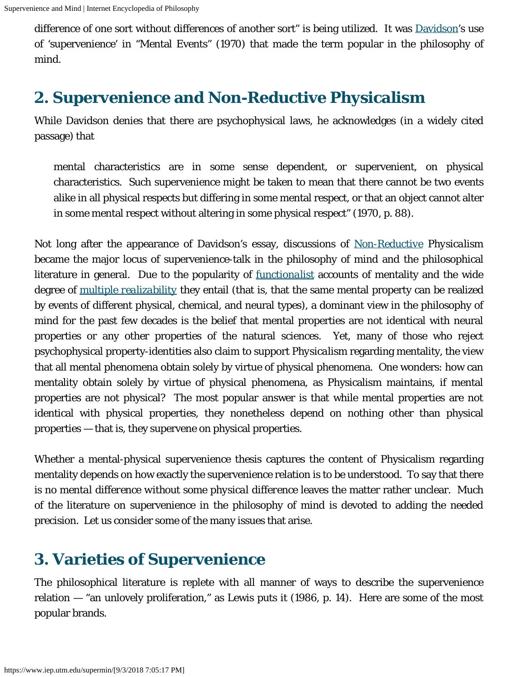difference of one sort without differences of another sort" is being utilized. It was [Davidson](https://www.iep.utm.edu/davidson/)'s use of 'supervenience' in "Mental Events" (1970) that made the term popular in the philosophy of mind.

### <span id="page-3-0"></span>**2. Supervenience and Non-Reductive Physicalism**

While Davidson denies that there are psychophysical laws, he acknowledges (in a widely cited passage) that

mental characteristics are in some sense dependent, or supervenient, on physical characteristics. Such supervenience might be taken to mean that there cannot be two events alike in all physical respects but differing in some mental respect, or that an object cannot alter in some mental respect without altering in some physical respect" (1970, p. 88).

Not long after the appearance of Davidson's essay, discussions of *[Non-Reductive](https://www.iep.utm.edu/red-ism/) Physicalism* became the major locus of supervenience-talk in the philosophy of mind and the philosophical literature in general. Due to the popularity of *[functionalist](https://www.iep.utm.edu/functism/)* accounts of mentality and the wide degree of *[multiple realizability](https://www.iep.utm.edu/mult-rea/)* they entail (that is, that the same mental property can be realized by events of different physical, chemical, and neural types), a dominant view in the philosophy of mind for the past few decades is the belief that mental properties are not identical with neural properties or any other properties of the natural sciences. Yet, many of those who reject psychophysical property-identities also claim to support *Physicalism* regarding mentality, the view that all mental phenomena obtain solely by virtue of physical phenomena. One wonders: how can mentality obtain solely by virtue of physical phenomena, as Physicalism maintains, if mental properties are not physical? The most popular answer is that while mental properties are not identical with physical properties, they nonetheless depend on nothing other than physical properties — that is, they supervene on physical properties.

Whether a mental-physical supervenience thesis captures the content of Physicalism regarding mentality depends on how exactly the supervenience relation is to be understood. To say that there is *no mental difference without some physical difference* leaves the matter rather unclear. Much of the literature on supervenience in the philosophy of mind is devoted to adding the needed precision. Let us consider some of the many issues that arise.

# <span id="page-3-1"></span>**3. Varieties of Supervenience**

The philosophical literature is replete with all manner of ways to describe the supervenience relation — "an unlovely proliferation," as Lewis puts it (1986, p. 14). Here are some of the most popular brands.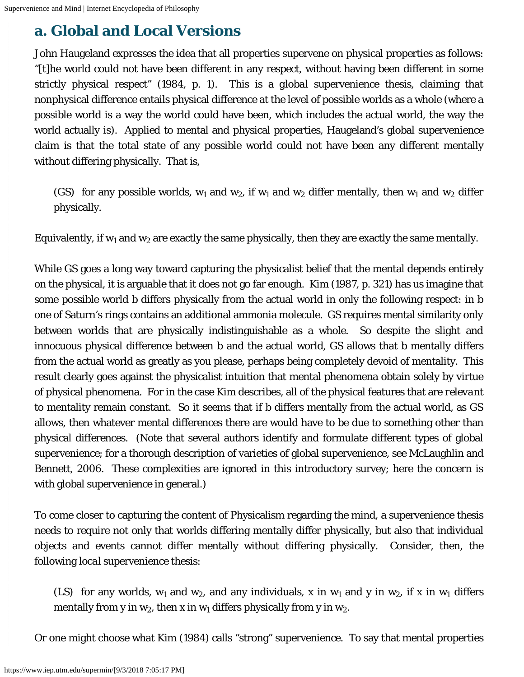### <span id="page-4-0"></span>**a. Global and Local Versions**

John Haugeland expresses the idea that all properties supervene on physical properties as follows: "[t]he world could not have been different in any respect, without having been different in some strictly physical respect" (1984, p. 1). This is a *global* supervenience thesis, claiming that nonphysical difference entails physical difference at the level of possible worlds as a whole (where a possible world is a way the world could have been, which includes the actual world, the way the world actually is). Applied to mental and physical properties, Haugeland's global supervenience claim is that the total state of any possible world could not have been any different mentally without differing physically. That is,

(GS) for any possible worlds,  $w_1$  and  $w_2$ , if  $w_1$  and  $w_2$  differ mentally, then  $w_1$  and  $w_2$  differ physically.

Equivalently, if  $\mathsf{w}_{\mathsf{1}}$  and  $\mathsf{w}_{\mathsf{2}}$  are exactly the same physically, then they are exactly the same mentally.

While GS goes a long way toward capturing the physicalist belief that the mental depends entirely on the physical, it is arguable that it does not go far enough. Kim (1987, p. 321) has us imagine that some possible world b differs physically from the actual world in only the following respect: in b one of Saturn's rings contains an additional ammonia molecule. GS requires mental similarity only between worlds that are physically indistinguishable as a whole. So despite the slight and innocuous physical difference between b and the actual world, GS allows that b mentally differs from the actual world as greatly as you please, perhaps being completely devoid of mentality. This result clearly goes against the physicalist intuition that mental phenomena obtain solely by virtue of physical phenomena. For in the case Kim describes, all of the physical features that are *relevant* to mentality remain constant. So it seems that if b differs mentally from the actual world, as GS allows, then whatever mental differences there are would have to be due to something other than physical differences. (Note that several authors identify and formulate different types of global supervenience; for a thorough description of varieties of global supervenience, see McLaughlin and Bennett, 2006. These complexities are ignored in this introductory survey; here the concern is with global supervenience in general.)

To come closer to capturing the content of Physicalism regarding the mind, a supervenience thesis needs to require not only that worlds differing mentally differ physically, but also that individual objects and events cannot differ mentally without differing physically. Consider, then, the following *local* supervenience thesis:

(LS) for any worlds,  $w_1$  and  $w_2$ , and any individuals, x in  $w_1$  and y in  $w_2$ , if x in  $w_1$  differs mentally from y in  $w_2$ , then x in  $w_1$  differs physically from y in  $w_2$ .

Or one might choose what Kim (1984) calls "strong" supervenience. To say that mental properties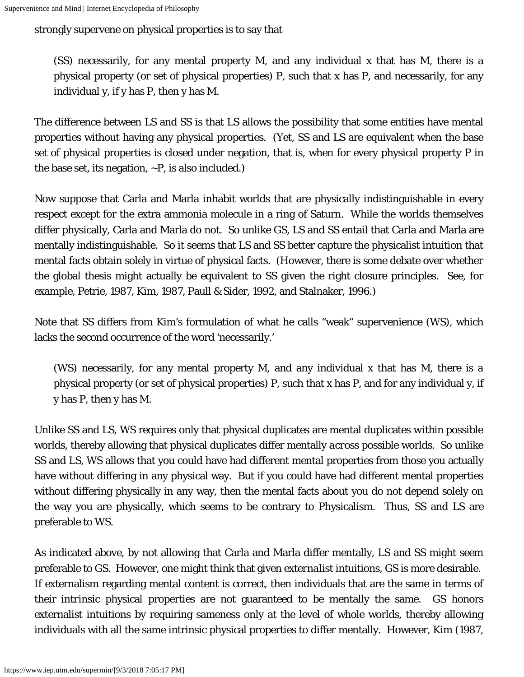strongly supervene on physical properties is to say that

(SS) necessarily, for any mental property M, and any individual x that has M, there is a physical property (or set of physical properties) P, such that x has P, and necessarily, for any individual y, if y has P, then y has M.

The difference between LS and SS is that LS allows the possibility that some entities have mental properties without having any physical properties. (Yet, SS and LS are equivalent when the base set of physical properties is closed under negation, that is, when for every physical property P in the base set, its negation,  $\neg P$ , is also included.)

Now suppose that Carla and Marla inhabit worlds that are physically indistinguishable in every respect except for the extra ammonia molecule in a ring of Saturn. While the worlds themselves differ physically, Carla and Marla do not. So unlike GS, LS and SS entail that Carla and Marla are mentally indistinguishable. So it seems that LS and SS better capture the physicalist intuition that mental facts obtain solely in virtue of physical facts. (However, there is some debate over whether the global thesis might actually be equivalent to SS given the right closure principles. See, for example, Petrie, 1987, Kim, 1987, Paull & Sider, 1992, and Stalnaker, 1996.)

Note that SS differs from Kim's formulation of what he calls "weak" supervenience (WS), which lacks the second occurrence of the word 'necessarily.'

(WS) necessarily, for any mental property M, and any individual x that has M, there is a physical property (or set of physical properties) P, such that x has P, and for any individual y, if y has P, then y has M.

Unlike SS and LS, WS requires only that physical duplicates are mental duplicates *within* possible worlds, thereby allowing that physical duplicates differ mentally *across* possible worlds. So unlike SS and LS, WS allows that you could have had different mental properties from those you actually have without differing in any physical way. But if you could have had different mental properties without differing physically in any way, then the mental facts about you do not depend solely on the way you are physically, which seems to be contrary to Physicalism. Thus, SS and LS are preferable to WS.

As indicated above, by not allowing that Carla and Marla differ mentally, LS and SS might seem preferable to GS. However, one might think that given *externalist* intuitions, GS is more desirable. If externalism regarding mental content is correct, then individuals that are the same in terms of their *intrinsic* physical properties are not guaranteed to be mentally the same. GS honors externalist intuitions by requiring sameness only at the level of whole worlds, thereby allowing individuals with all the same intrinsic physical properties to differ mentally. However, Kim (1987,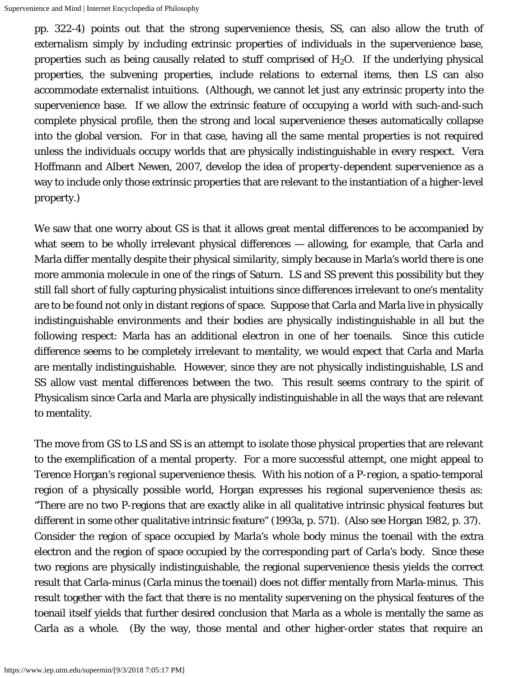pp. 322-4) points out that the strong supervenience thesis, SS, can also allow the truth of externalism simply by including *extrinsic* properties of individuals in the supervenience base, properties such as being causally related to stuff comprised of  $\rm H_2O$ . If the underlying physical properties, the *subvening* properties, include relations to external items, then LS can also accommodate externalist intuitions. (Although, we cannot let just any extrinsic property into the supervenience base. If we allow the extrinsic feature of occupying a world with such-and-such complete physical profile, then the strong and local supervenience theses automatically collapse into the global version. For in that case, having all the same mental properties is not required unless the individuals occupy worlds that are physically indistinguishable in every respect. Vera Hoffmann and Albert Newen, 2007, develop the idea of *property-dependent supervenience* as a way to include only those extrinsic properties that are relevant to the instantiation of a higher-level property.)

We saw that one worry about GS is that it allows great mental differences to be accompanied by what seem to be wholly irrelevant physical differences — allowing, for example, that Carla and Marla differ mentally despite their physical similarity, simply because in Marla's world there is one more ammonia molecule in one of the rings of Saturn. LS and SS prevent this possibility but they still fall short of fully capturing physicalist intuitions since differences irrelevant to one's mentality are to be found not only in distant regions of space. Suppose that Carla and Marla live in physically indistinguishable environments and their bodies are physically indistinguishable in all but the following respect: Marla has an additional electron in one of her toenails. Since this cuticle difference seems to be completely irrelevant to mentality, we would expect that Carla and Marla are mentally indistinguishable. However, since they are not physically indistinguishable, LS and SS allow vast mental differences between the two. This result seems contrary to the spirit of Physicalism since Carla and Marla are physically indistinguishable in all the ways that are relevant to mentality.

The move from GS to LS and SS is an attempt to isolate those physical properties that are relevant to the exemplification of a mental property. For a more successful attempt, one might appeal to Terence Horgan's *regional* supervenience thesis. With his notion of a *P-region*, a spatio-temporal region of a physically possible world, Horgan expresses his regional supervenience thesis as: "There are no two *P*-regions that are exactly alike in all qualitative intrinsic physical features but different in some other qualitative intrinsic feature" (1993a, p. 571). (Also see Horgan 1982, p. 37). Consider the region of space occupied by Marla's whole body minus the toenail with the extra electron and the region of space occupied by the corresponding part of Carla's body. Since these two regions are physically indistinguishable, the regional supervenience thesis yields the correct result that Carla-minus (Carla minus the toenail) does not differ mentally from Marla-minus. This result together with the fact that there is no mentality supervening on the physical features of the toenail itself yields that further desired conclusion that Marla as a whole is mentally the same as Carla as a whole. (By the way, those mental and other higher-order states that require an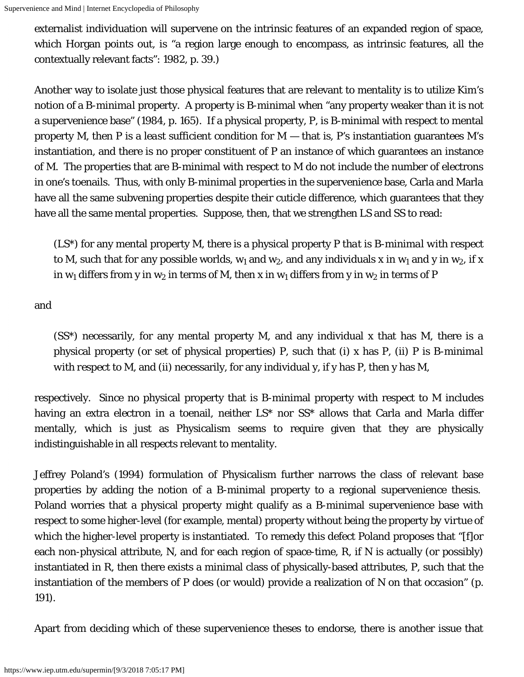externalist individuation will supervene on the intrinsic features of an expanded region of space, which Horgan points out, is "a region large enough to encompass, as intrinsic features, all the contextually relevant facts": 1982, p. 39.)

Another way to isolate just those physical features that are relevant to mentality is to utilize Kim's notion of a *B-minimal* property. A property is B-minimal when "any property weaker than it is not a supervenience base" (1984, p. 165). If a physical property, P, is B-minimal with respect to mental property M, then P is a *least sufficient* condition for M — that is, P's instantiation guarantees M's instantiation, and there is no proper constituent of P an instance of which guarantees an instance of M. The properties that are B-minimal with respect to M do not include the number of electrons in one's toenails. Thus, with only B-minimal properties in the supervenience base, Carla and Marla have all the same subvening properties despite their cuticle difference, which guarantees that they have all the same mental properties. Suppose, then, that we strengthen LS and SS to read:

(LS\*) for any mental property M, there is a physical property P *that is B-minimal with respect to M*, such that for any possible worlds,  $w_1$  and  $w_2$ , and any individuals x in  $w_1$  and y in  $w_2$ , if x in w<sub>1</sub> differs from y in w<sub>2</sub> in terms of M, then x in w<sub>1</sub> differs from y in w<sub>2</sub> in terms of P

and

(SS\*) necessarily, for any mental property M, and any individual x that has M, there is a physical property (or set of physical properties) P, such that (i) x has P, (ii) *P is B-minimal with respect to M*, and (ii) necessarily, for any individual y, if y has P, then y has M,

respectively. Since no physical property that is B-minimal property with respect to M includes having an extra electron in a toenail, neither LS\* nor SS\* allows that Carla and Marla differ mentally, which is just as Physicalism seems to require given that they are physically indistinguishable in all respects relevant to mentality.

Jeffrey Poland's (1994) formulation of Physicalism further narrows the class of relevant base properties by adding the notion of a B-minimal property to a regional supervenience thesis. Poland worries that a physical property might qualify as a B-minimal supervenience base with respect to some higher-level (for example, mental) property without being the property *by virtue of which* the higher-level property is instantiated. To remedy this defect Poland proposes that "[f]or each non-physical attribute, N, and for each region of space-time, R, if N is actually (or possibly) instantiated in R, then there exists a minimal class of physically-based attributes, P, such that the instantiation of the members of P does (or would) provide a realization of N on that occasion" (p. 191).

Apart from deciding which of these supervenience theses to endorse, there is another issue that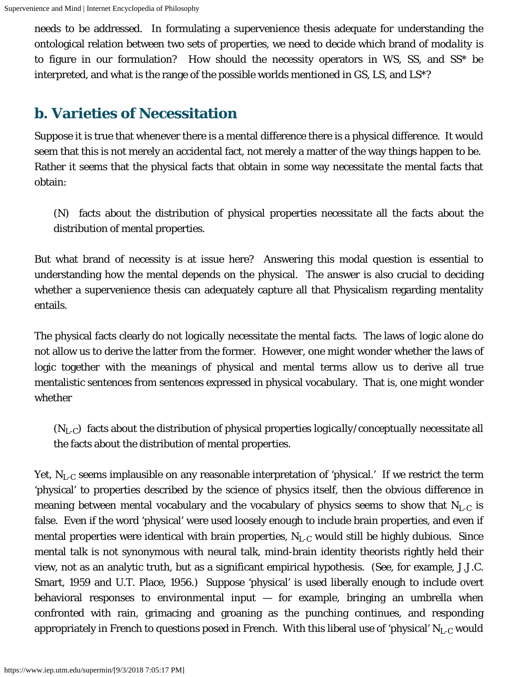needs to be addressed. In formulating a supervenience thesis adequate for understanding the ontological relation between two sets of properties, we need to decide which brand of *modality* is to figure in our formulation? How should the necessity operators in WS, SS, and SS\* be interpreted, and what is the range of the possible worlds mentioned in GS, LS, and LS\*?

#### <span id="page-8-0"></span>**b. Varieties of Necessitation**

Suppose it is true that whenever there is a mental difference there is a physical difference. It would seem that this is not merely an accidental fact, not merely a matter of the way things happen to be. Rather it seems that the physical facts that obtain in some way *necessitate* the mental facts that obtain:

(N) facts about the distribution of physical properties *necessitate* all the facts about the distribution of mental properties.

But what brand of necessity is at issue here? Answering this modal question is essential to understanding how the mental depends on the physical. The answer is also crucial to deciding whether a supervenience thesis can adequately capture all that Physicalism regarding mentality entails.

The physical facts clearly do not *logically* necessitate the mental facts. The laws of logic alone do not allow us to derive the latter from the former. However, one might wonder whether the laws of logic together with the *meanings* of physical and mental terms allow us to derive all true mentalistic sentences from sentences expressed in physical vocabulary. That is, one might wonder whether

 $(N_{L-C})$  facts about the distribution of physical properties *logically/conceptually* necessitate all the facts about the distribution of mental properties.

Yet,  $\rm N_{L\text{-}C}$  seems implausible on any reasonable interpretation of 'physical.' If we restrict the term 'physical' to properties described by the science of physics itself, then the obvious difference in meaning between mental vocabulary and the vocabulary of physics seems to show that  $\rm N_{L\text{-}C}$  is false. Even if the word 'physical' were used loosely enough to include brain properties, and even if mental properties were identical with brain properties,  $\rm N_{L\text{-}C}$  would still be highly dubious. Since mental talk is not synonymous with neural talk, mind-brain identity theorists rightly held their view, not as an analytic truth, but as a significant empirical hypothesis. (See, for example, J.J.C. Smart, 1959 and U.T. Place, 1956.) Suppose 'physical' is used liberally enough to include overt behavioral responses to environmental input — for example, bringing an umbrella when confronted with rain, grimacing and groaning as the punching continues, and responding appropriately in French to questions posed in French. With this liberal use of 'physical'  $\rm N_{L\text{-}C}$  would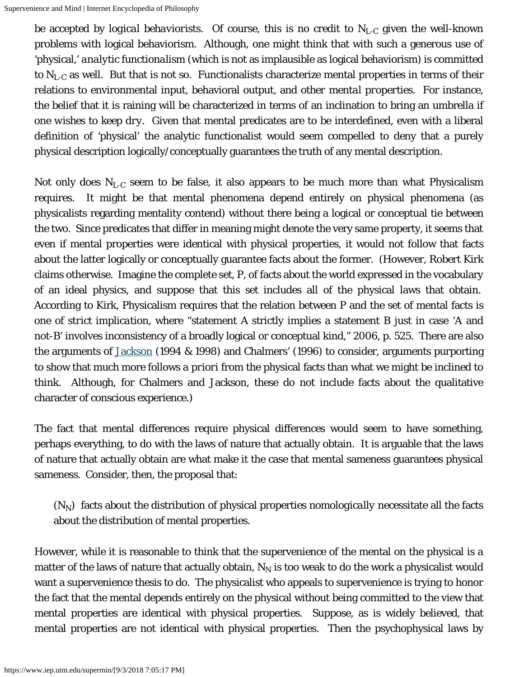be accepted by *logical behaviorists*. Of course, this is no credit to N<sub>L-C</sub> given the well-known problems with logical behaviorism. Although, one might think that with such a generous use of 'physical,' *analytic functionalism* (which is not as implausible as logical behaviorism) is committed to  $\rm N_{L\text{-}C}$  as well. But that is not so. Functionalists characterize mental properties in terms of their relations to environmental input, behavioral output, and *other mental properties*. For instance, the belief that it is raining will be characterized in terms of an inclination to bring an umbrella *if one wishes to keep dry*. Given that mental predicates are to be interdefined, even with a liberal definition of 'physical' the analytic functionalist would seem compelled to deny that a purely physical description logically/conceptually guarantees the truth of any mental description.

Not only does  $\rm N_{L\text{-}C}$  seem to be false, it also appears to be much more than what Physicalism requires. It might be that mental phenomena depend entirely on physical phenomena (as physicalists regarding mentality contend) without there being a logical or conceptual tie between the two. Since predicates that differ in meaning might denote the very same property, it seems that even if mental properties were identical with physical properties, it would not follow that facts about the latter logically or conceptually guarantee facts about the former. (However, Robert Kirk claims otherwise. Imagine the complete set, P, of facts about the world expressed in the vocabulary of an ideal physics, and suppose that this set includes all of the physical laws that obtain. According to Kirk, Physicalism requires that the relation between P and the set of mental facts is one of *strict implication*, where "statement *A* strictly implies a statement *B* just in case '*A* and not-*B*' involves inconsistency of a broadly logical or conceptual kind," 2006, p. 525. There are also the arguments of [Jackson](https://www.iep.utm.edu/know-arg/) (1994 & 1998) and Chalmers' (1996) to consider, arguments purporting to show that much more follows *a priori* from the physical facts than what we might be inclined to think. Although, for Chalmers and Jackson, these do not include facts about the qualitative character of conscious experience.)

The fact that mental differences require physical differences would seem to have something, perhaps everything, to do with the laws of nature that actually obtain. It is arguable that the laws of nature that actually obtain are what make it the case that mental sameness guarantees physical sameness. Consider, then, the proposal that:

 $(N_N)$  facts about the distribution of physical properties *nomologically* necessitate all the facts about the distribution of mental properties.

However, while it is reasonable to think that the supervenience of the mental on the physical is a matter of the laws of nature that actually obtain,  ${\rm N_N}$  is too weak to do the work a physicalist would want a supervenience thesis to do. The physicalist who appeals to supervenience is trying to honor the fact that the mental depends entirely on the physical without being committed to the view that mental properties are identical with physical properties. Suppose, as is widely believed, that mental properties are not identical with physical properties. Then the psychophysical laws by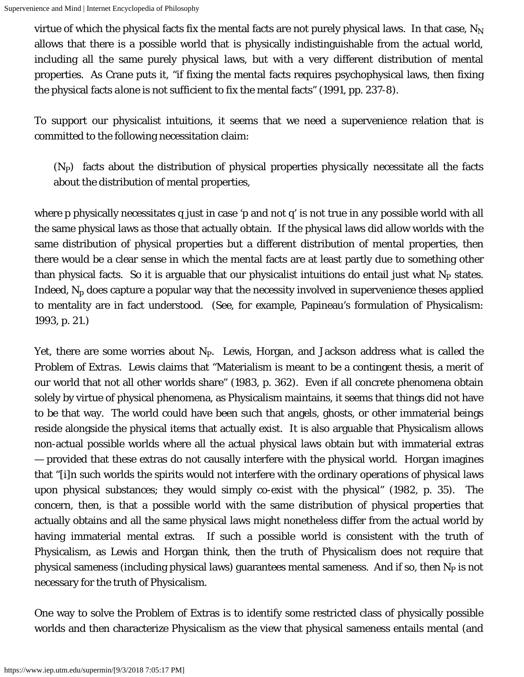virtue of which the physical facts fix the mental facts are not purely physical laws. In that case,  $\rm N_N$ allows that there is a possible world that is physically indistinguishable from the actual world, including all the same purely physical laws, but with a very different distribution of mental properties. As Crane puts it, "if fixing the mental facts requires psychophysical laws, then fixing the physical facts *alone* is not sufficient to fix the mental facts" (1991, pp. 237-8).

To support our physicalist intuitions, it seems that we need a supervenience relation that is committed to the following necessitation claim:

(N<sub>P</sub>) facts about the distribution of physical properties *physically* necessitate all the facts about the distribution of mental properties,

where *p* physically necessitates *q* just in case '*p* and not *q*' is not true in any possible world with all the same physical laws as those that actually obtain. If the physical laws did allow worlds with the same distribution of physical properties but a different distribution of mental properties, then there would be a clear sense in which the mental facts are at least partly due to something other than physical facts. So it is arguable that our physicalist intuitions do entail just what  $N_{\rm P}$  states. Indeed,  $\rm N_p$  does capture a popular way that the necessity involved in supervenience theses applied to mentality are in fact understood. (See, for example, Papineau's formulation of Physicalism: 1993, p. 21.)

Yet, there are some worries about  $N_P$ . Lewis, Horgan, and Jackson address what is called the *Problem of Extras*. Lewis claims that "Materialism is meant to be a contingent thesis, a merit of our world that not all other worlds share" (1983, p. 362). Even if all concrete phenomena obtain solely by virtue of physical phenomena, as Physicalism maintains, it seems that things did not have to be that way. The world could have been such that angels, ghosts, or other immaterial beings reside alongside the physical items that actually exist. It is also arguable that Physicalism allows non-actual possible worlds where all the actual physical laws obtain but with immaterial extras — provided that these extras do not causally interfere with the physical world. Horgan imagines that "[i]n such worlds the spirits would not interfere with the ordinary operations of physical laws upon physical substances; they would simply co-exist with the physical" (1982, p. 35). The concern, then, is that a possible world with the same distribution of physical properties that actually obtains and all the same physical laws might nonetheless differ from the actual world by having immaterial mental extras. If such a possible world is consistent with the truth of Physicalism, as Lewis and Horgan think, then the truth of Physicalism does not require that physical sameness (including physical laws) guarantees mental sameness. And if so, then  $N_{\rm P}$  is not necessary for the truth of Physicalism.

One way to solve the Problem of Extras is to identify some restricted class of physically possible worlds and then characterize Physicalism as the view that physical sameness entails mental (and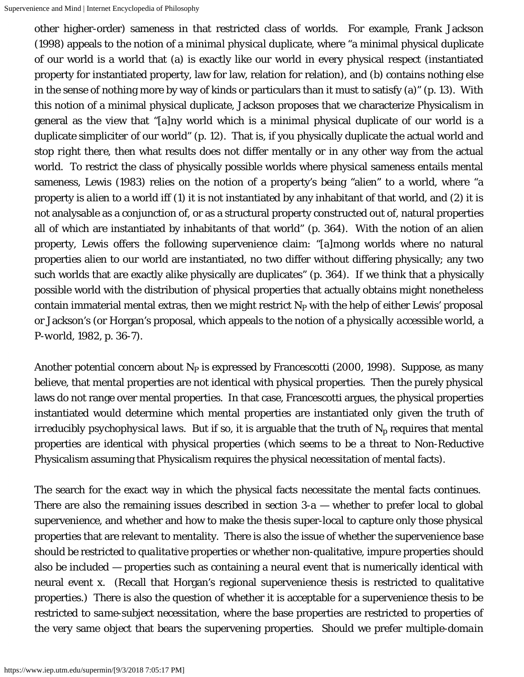other higher-order) sameness in that restricted class of worlds. For example, Frank Jackson (1998) appeals to the notion of a *minimal physical duplicate*, where "a minimal physical duplicate of our world is a world that (a) is exactly like our world in every physical respect (instantiated property for instantiated property, law for law, relation for relation), and (b) contains nothing else in the sense of nothing more by way of kinds or particulars than it *must* to satisfy (a)" (p. 13). With this notion of a minimal physical duplicate, Jackson proposes that we characterize Physicalism in general as the view that "[a]ny world which is a *minimal* physical duplicate of our world is a duplicate *simpliciter* of our world" (p. 12). That is, if you physically duplicate the actual world and *stop right there*, then what results does not differ mentally or in any other way from the actual world. To restrict the class of physically possible worlds where physical sameness entails mental sameness, Lewis (1983) relies on the notion of a property's being "alien" to a world, where "a property is *alien* to a world iff (1) it is not instantiated by any inhabitant of that world, and (2) it is not analysable as a conjunction of, or as a structural property constructed out of, natural properties all of which are instantiated by inhabitants of that world" (p. 364). With the notion of an alien property, Lewis offers the following supervenience claim: "[a]mong worlds where no natural properties alien to our world are instantiated, no two differ without differing physically; any two such worlds that are exactly alike physically are duplicates" (p. 364). If we think that a physically possible world with the distribution of physical properties that actually obtains might nonetheless contain immaterial mental extras, then we might restrict  $\mathrm{N}_{\mathrm{P}}$  with the help of either Lewis' proposal or Jackson's (or Horgan's proposal, which appeals to the notion of a *physically accessible world*, a *P-world*, 1982, p. 36-7).

Another potential concern about  $N_P$  is expressed by Francescotti (2000, 1998). Suppose, as many believe, that mental properties are not identical with physical properties. Then the purely physical laws do not range over mental properties. In that case, Francescotti argues, the physical properties instantiated would determine which mental properties are instantiated *only given the truth of irreducibly psychophysical laws*. But if so, it is arguable that the truth of  $\rm N_p$  requires that mental properties are identical with physical properties (which seems to be a threat to Non-Reductive Physicalism assuming that Physicalism requires the physical necessitation of mental facts).

The search for the exact way in which the physical facts necessitate the mental facts continues. There are also the remaining issues described in section  $3-a$  — whether to prefer local to global supervenience, and whether and how to make the thesis super-local to capture only those physical properties that are relevant to mentality. There is also the issue of whether the supervenience base should be restricted to *qualitative* properties or whether non-qualitative, *impure* properties should also be included — properties such as containing a neural event that is numerically identical with neural event x. (Recall that Horgan's regional supervenience thesis is restricted to qualitative properties.) There is also the question of whether it is acceptable for a supervenience thesis to be restricted to *same-subject necessitation*, where the base properties are restricted to properties of the very same object that bears the supervening properties. Should we prefer *multiple-domain*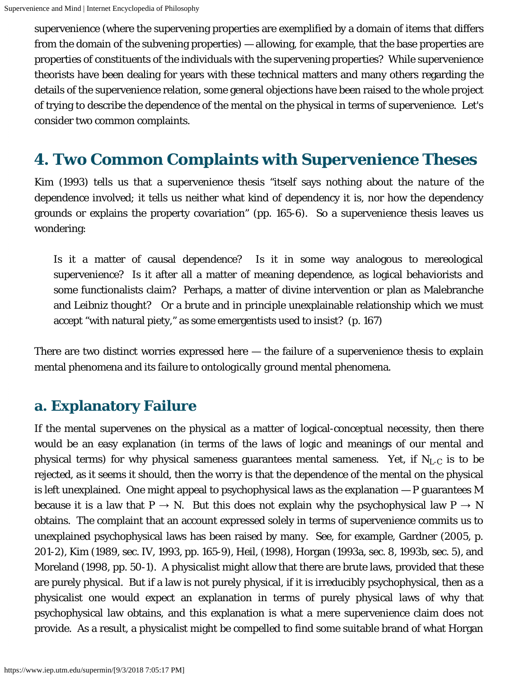supervenience (where the supervening properties are exemplified by a domain of items that differs from the domain of the subvening properties) — allowing, for example, that the base properties are properties of *constituents* of the individuals with the supervening properties? While supervenience theorists have been dealing for years with these technical matters and many others regarding the details of the supervenience relation, some general objections have been raised to the whole project of trying to describe the dependence of the mental on the physical in terms of supervenience. Let's consider two common complaints.

### <span id="page-12-0"></span>**4. Two Common Complaints with Supervenience Theses**

Kim (1993) tells us that a supervenience thesis "itself says nothing about the *nature* of the dependence involved; it tells us neither what kind of dependency it is, nor how the dependency grounds or explains the property covariation" (pp. 165-6). So a supervenience thesis leaves us wondering:

Is it a matter of causal dependence? Is it in some way analogous to mereological supervenience? Is it after all a matter of meaning dependence, as logical behaviorists and some functionalists claim? Perhaps, a matter of divine intervention or plan as Malebranche and Leibniz thought? Or a brute and in principle unexplainable relationship which we must accept "with natural piety," as some emergentists used to insist? (p. 167)

There are two distinct worries expressed here — the failure of a supervenience thesis to *explain* mental phenomena and its failure to *ontologically ground* mental phenomena.

#### <span id="page-12-1"></span>**a. Explanatory Failure**

If the mental supervenes on the physical as a matter of logical-conceptual necessity, then there would be an easy explanation (in terms of the laws of logic and meanings of our mental and physical terms) for why physical sameness guarantees mental sameness. Yet, if  $\rm N_{L\text{-}C}$  is to be rejected, as it seems it should, then the worry is that the dependence of the mental on the physical is left unexplained. One might appeal to psychophysical laws as the explanation — P guarantees M because it is a law that P  $\rightarrow$  N. But this does not explain why the psychophysical law P  $\rightarrow$  N obtains. The complaint that an account expressed solely in terms of supervenience commits us to unexplained psychophysical laws has been raised by many. See, for example, Gardner (2005, p. 201-2), Kim (1989, sec. IV, 1993, pp. 165-9), Heil, (1998), Horgan (1993a, sec. 8, 1993b, sec. 5), and Moreland (1998, pp. 50-1). A physicalist might allow that there are brute laws, provided that these are purely physical. But if a law is not purely physical, if it is irreducibly psychophysical, then as a physicalist one would expect an explanation in terms of purely physical laws of why that psychophysical law obtains, and this explanation is what a mere supervenience claim does not provide. As a result, a physicalist might be compelled to find some suitable brand of what Horgan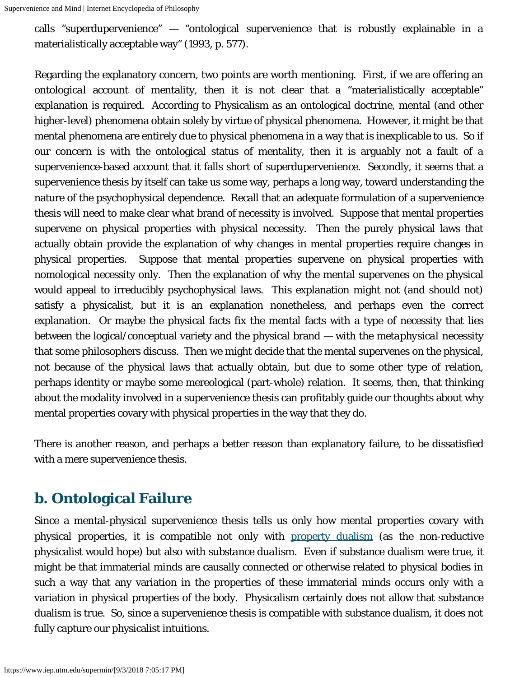calls "superdupervenience" — "ontological supervenience that is robustly explainable in a materialistically acceptable way" (1993, p. 577).

Regarding the explanatory concern, two points are worth mentioning. First, if we are offering an *ontological* account of mentality, then it is not clear that a "materialistically acceptable" explanation is required. According to Physicalism as an ontological doctrine, mental (and other higher-level) phenomena obtain solely by virtue of physical phenomena. However, it might be that mental phenomena are entirely due to physical phenomena in a way that is inexplicable to us. So if our concern is with the ontological status of mentality, then it is arguably not a fault of a supervenience-based account that it falls short of superdupervenience. Secondly, it seems that a supervenience thesis by itself can take us some way, perhaps a long way, toward understanding the nature of the psychophysical dependence. Recall that an adequate formulation of a supervenience thesis will need to make clear what brand of necessity is involved. Suppose that mental properties supervene on physical properties with physical necessity. Then the purely physical laws that actually obtain provide the explanation of why changes in mental properties require changes in physical properties. Suppose that mental properties supervene on physical properties with nomological necessity only. Then the explanation of why the mental supervenes on the physical would appeal to irreducibly psychophysical laws. This explanation might not (and should not) satisfy a physicalist, but it is an explanation nonetheless, and perhaps even the correct explanation. Or maybe the physical facts fix the mental facts with a type of necessity that lies between the logical/conceptual variety and the physical brand — with the *metaphysical* necessity that some philosophers discuss. Then we might decide that the mental supervenes on the physical, not because of the physical laws that actually obtain, but due to some other type of relation, perhaps identity or maybe some mereological (part-whole) relation. It seems, then, that thinking about the modality involved in a supervenience thesis can profitably guide our thoughts about why mental properties covary with physical properties in the way that they do.

There is another reason, and perhaps a better reason than explanatory failure, to be dissatisfied with a mere supervenience thesis.

#### <span id="page-13-0"></span>**b. Ontological Failure**

Since a mental-physical supervenience thesis tells us only how mental properties covary with physical properties, it is compatible not only with [property dualism](https://www.iep.utm.edu/dualism/#H6) (as the non-reductive physicalist would hope) but also with *substance dualism*. Even if substance dualism were true, it might be that immaterial minds are causally connected or otherwise related to physical bodies in such a way that any variation in the properties of these immaterial minds occurs only with a variation in physical properties of the body. Physicalism certainly does not allow that substance dualism is true. So, since a supervenience thesis is compatible with substance dualism, it does not fully capture our physicalist intuitions.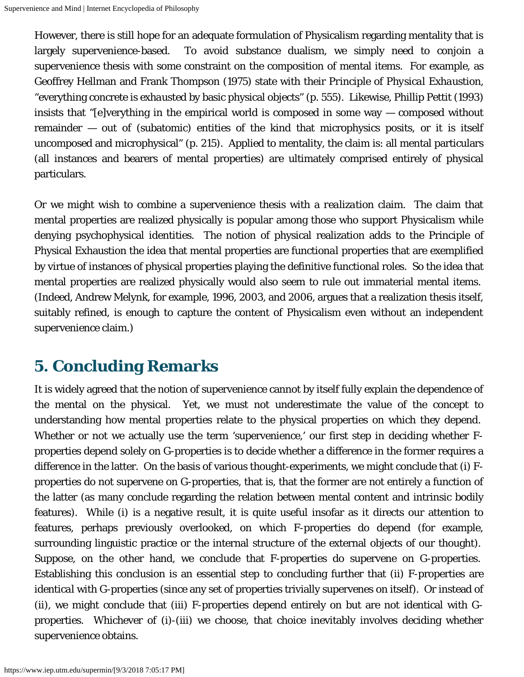However, there is still hope for an adequate formulation of Physicalism regarding mentality that is largely supervenience-based. To avoid substance dualism, we simply need to conjoin a supervenience thesis with some constraint on the *composition* of mental items. For example, as Geoffrey Hellman and Frank Thompson (1975) state with their *Principle of Physical Exhaustion*, "everything concrete is *exhausted* by basic physical objects" (p. 555). Likewise, Phillip Pettit (1993) insists that "[e]verything in the empirical world is composed in some way — composed without remainder — out of (subatomic) entities of the kind that microphysics posits, or it is itself uncomposed and microphysical" (p. 215). Applied to mentality, the claim is: all mental particulars (all instances and bearers of mental properties) are ultimately comprised entirely of physical particulars.

Or we might wish to combine a supervenience thesis with a *realization* claim. The claim that mental properties are realized physically is popular among those who support Physicalism while denying psychophysical identities. The notion of physical realization adds to the Principle of Physical Exhaustion the idea that mental properties are *functional* properties that are exemplified by virtue of instances of physical properties playing the definitive functional roles. So the idea that mental properties are realized physically would also seem to rule out immaterial mental items. (Indeed, Andrew Melynk, for example, 1996, 2003, and 2006, argues that a realization thesis itself, suitably refined, is enough to capture the content of Physicalism even without an independent supervenience claim.)

### <span id="page-14-0"></span>**5. Concluding Remarks**

It is widely agreed that the notion of supervenience cannot by itself fully explain the dependence of the mental on the physical. Yet, we must not underestimate the value of the concept to understanding how mental properties relate to the physical properties on which they depend. Whether or not we actually use the term 'supervenience,' our first step in deciding whether Fproperties depend solely on G-properties is to decide whether a difference in the former requires a difference in the latter. On the basis of various thought-experiments, we might conclude that (i) Fproperties do not supervene on G-properties, that is, that the former are not entirely a function of the latter (as many conclude regarding the relation between mental content and intrinsic bodily features). While (i) is a negative result, it is quite useful insofar as it directs our attention to features, perhaps previously overlooked, on which F-properties do depend (for example, surrounding linguistic practice or the internal structure of the external objects of our thought). Suppose, on the other hand, we conclude that F-properties do supervene on G-properties. Establishing this conclusion is an essential step to concluding further that (ii) F-properties are *identical* with G-properties (since any set of properties trivially supervenes on itself). Or instead of (ii), we might conclude that (iii) F-properties depend entirely on but are not identical with Gproperties. Whichever of (i)-(iii) we choose, that choice inevitably involves deciding whether supervenience obtains.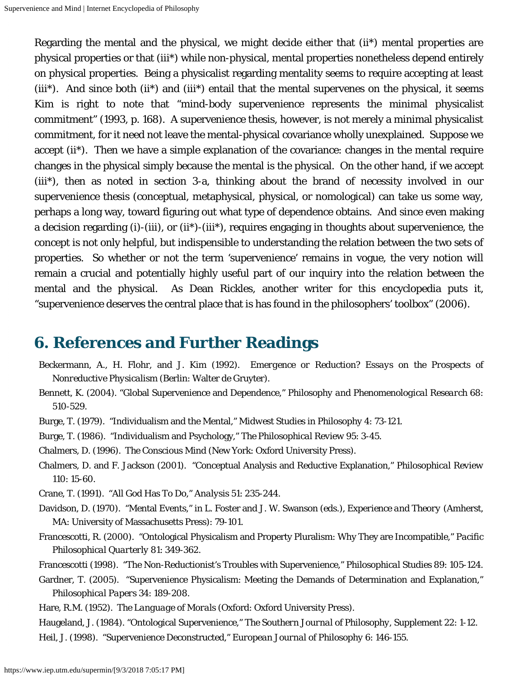Regarding the mental and the physical, we might decide either that (ii\*) mental properties are physical properties or that (iii\*) while non-physical, mental properties nonetheless depend entirely on physical properties. Being a physicalist regarding mentality seems to require accepting at least (iii\*). And since both (ii\*) and (iii\*) entail that the mental supervenes on the physical, it seems Kim is right to note that "mind-body supervenience represents the minimal physicalist commitment" (1993, p. 168). A supervenience thesis, however, is not merely a minimal physicalist commitment, for it need not leave the mental-physical covariance wholly unexplained. Suppose we accept (ii\*). Then we have a simple explanation of the covariance: changes in the mental require changes in the physical simply because the mental is the physical. On the other hand, if we accept (iii\*), then as noted in section 3-a, thinking about the brand of necessity involved in our supervenience thesis (conceptual, metaphysical, physical, or nomological) can take us some way, perhaps a long way, toward figuring out what type of dependence obtains. And since even making a decision regarding (i)-(iii), or (ii\*)-(iii\*), requires engaging in thoughts about supervenience, the concept is not only helpful, but indispensible to understanding the relation between the two sets of properties. So whether or not the term 'supervenience' remains in vogue, the very notion will remain a crucial and potentially highly useful part of our inquiry into the relation between the mental and the physical. As Dean Rickles, another writer for this encyclopedia puts it, "supervenience deserves the central place that is has found in the philosophers' toolbox" (2006).

### <span id="page-15-0"></span>**6. References and Further Readings**

- Beckermann, A., H. Flohr, and J. Kim (1992). *Emergence or Reduction? Essays on the Prospects of Nonreductive Physicalism* (Berlin: Walter de Gruyter).
- Bennett, K. (2004). "Global Supervenience and Dependence," *Philosophy and Phenomenological Research* 68: 510-529.
- Burge, T. (1979). "Individualism and the Mental," *Midwest Studies in Philosophy* 4: 73-121.
- Burge, T. (1986). "Individualism and Psychology," *The Philosophical Review* 95: 3-45.
- Chalmers, D. (1996). *The Conscious Mind* (New York: Oxford University Press).
- Chalmers, D. and F. Jackson (2001). "Conceptual Analysis and Reductive Explanation," *Philosophical Review* 110: 15-60.
- Crane, T. (1991). "All God Has To Do," *Analysis* 51: 235-244.
- Davidson, D. (1970). "Mental Events," in L. Foster and J. W. Swanson (eds.), *Experience and Theory* (Amherst, MA: University of Massachusetts Press): 79-101.
- Francescotti, R. (2000). "Ontological Physicalism and Property Pluralism: Why They are Incompatible," *Pacific Philosophical Quarterly* 81: 349-362.
- Francescotti (1998). "The Non-Reductionist's Troubles with Supervenience," *Philosophical Studies* 89: 105-124.
- Gardner, T. (2005). "Supervenience Physicalism: Meeting the Demands of Determination and Explanation," *Philosophical Papers* 34: 189-208.
- Hare, R.M. (1952). *The Language of Morals* (Oxford: Oxford University Press).

Haugeland, J. (1984). "Ontological Supervenience," *The Southern Journal of Philosophy*, Supplement 22: 1-12. Heil, J. (1998). "Supervenience Deconstructed," *European Journal of Philosophy* 6: 146-155.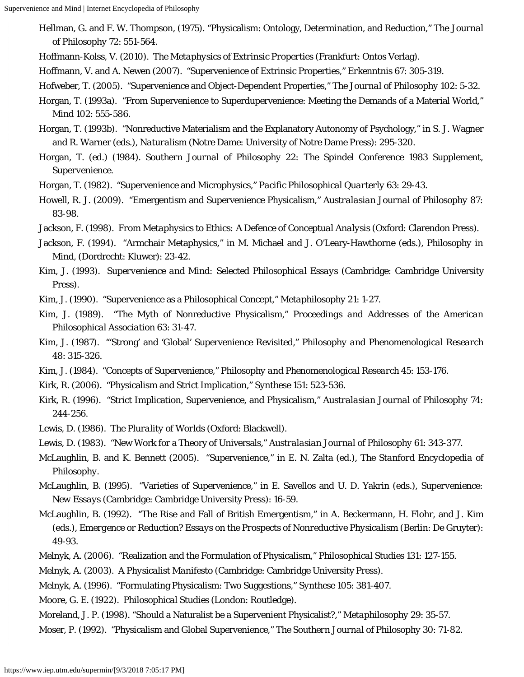Supervenience and Mind | Internet Encyclopedia of Philosophy

- Hellman, G. and F. W. Thompson, (1975). "Physicalism: Ontology, Determination, and Reduction," *The Journal of Philosophy* 72: 551-564.
- Hoffmann-Kolss, V. (2010). *The Metaphysics of Extrinsic Properties* (Frankfurt: Ontos Verlag).
- Hoffmann, V. and A. Newen (2007). "Supervenience of Extrinsic Properties," *Erkenntnis* 67: 305-319.
- Hofweber, T. (2005). "Supervenience and Object-Dependent Properties," *The Journal of Philosophy* 102: 5-32.
- Horgan, T. (1993a). "From Supervenience to Superdupervenience: Meeting the Demands of a Material World," *Mind* 102: 555-586.
- Horgan, T. (1993b). "Nonreductive Materialism and the Explanatory Autonomy of Psychology," in S. J. Wagner and R. Warner (eds.), *Naturalism* (Notre Dame: University of Notre Dame Press): 295-320.
- Horgan, T. (ed.) (1984). *Southern Journal of Philosophy 22: The Spindel Conference 1983 Supplement, Supervenience*.
- Horgan, T. (1982). "Supervenience and Microphysics," *Pacific Philosophical Quarterly* 63: 29-43.
- Howell, R. J. (2009). "Emergentism and Supervenience Physicalism," *Australasian Journal of Philosophy* 87: 83-98.
- Jackson, F. (1998). *From Metaphysics to Ethics: A Defence of Conceptual Analysis* (Oxford: Clarendon Press).
- Jackson, F. (1994). "Armchair Metaphysics," in M. Michael and J. O'Leary-Hawthorne (eds.), *Philosophy in Mind*, (Dordrecht: Kluwer): 23-42.
- Kim, J. (1993). *Supervenience and Mind: Selected Philosophical Essays* (Cambridge: Cambridge University Press).
- Kim, J. (1990). "Supervenience as a Philosophical Concept," *Metaphilosophy* 21: 1-27.
- Kim, J. (1989). "The Myth of Nonreductive Physicalism," *Proceedings and Addresses of the American Philosophical Association* 63: 31-47.
- Kim, J. (1987). "'Strong' and 'Global' Supervenience Revisited," *Philosophy and Phenomenological Research* 48: 315-326.
- Kim, J. (1984). "Concepts of Supervenience," *Philosophy and Phenomenological Research* 45: 153-176.
- Kirk, R. (2006). "Physicalism and Strict Implication," *Synthese* 151: 523-536.
- Kirk, R. (1996). "Strict Implication, Supervenience, and Physicalism," *Australasian Journal of Philosophy* 74: 244-256.
- Lewis, D. (1986). *The Plurality of Worlds* (Oxford: Blackwell).
- Lewis, D. (1983). "New Work for a Theory of Universals," *Australasian Journal of Philosophy* 61: 343-377.
- McLaughlin, B. and K. Bennett (2005). "Supervenience," in E. N. Zalta (ed.), *The Stanford Encyclopedia of Philosophy*.
- McLaughlin, B. (1995). "Varieties of Supervenience," in E. Savellos and U. D. Yakrin (eds.), *Supervenience: New Essays* (Cambridge: Cambridge University Press): 16-59.
- McLaughlin, B. (1992). "The Rise and Fall of British Emergentism," in A. Beckermann, H. Flohr, and J. Kim (eds.), *Emergence or Reduction? Essays on the Prospects of Nonreductive Physicalism* (Berlin: De Gruyter): 49-93.
- Melnyk, A. (2006). "Realization and the Formulation of Physicalism," *Philosophical Studies* 131: 127-155.
- Melnyk, A. (2003). *A Physicalist Manifesto* (Cambridge: Cambridge University Press).
- Melnyk, A. (1996). "Formulating Physicalism: Two Suggestions," *Synthese* 105: 381-407.
- Moore, G. E. (1922). *Philosophical Studies* (London: Routledge).

Moreland, J. P. (1998). "Should a Naturalist be a Supervenient Physicalist?," *Metaphilosophy* 29: 35-57.

Moser, P. (1992). "Physicalism and Global Supervenience," *The Southern Journal of Philosophy* 30: 71-82.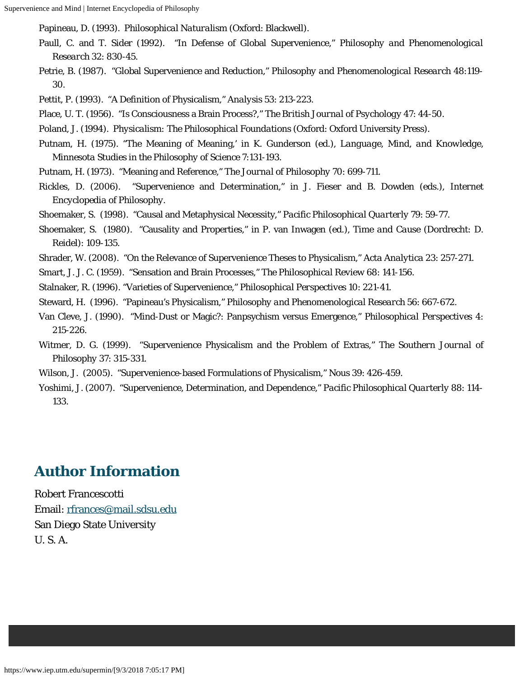Papineau, D. (1993). *Philosophical Naturalism* (Oxford: Blackwell).

- Paull, C. and T. Sider (1992). "In Defense of Global Supervenience," *Philosophy and Phenomenological Research* 32: 830-45.
- Petrie, B. (1987). "Global Supervenience and Reduction," *Philosophy and Phenomenological Research* 48:119- 30.

Pettit, P. (1993). "A Definition of Physicalism," *Analysis* 53: 213-223.

Place, U. T. (1956). "Is Consciousness a Brain Process?," *The British Journal of Psychology* 47: 44-50.

Poland, J. (1994). *Physicalism: The Philosophical Foundations* (Oxford: Oxford University Press).

- Putnam, H. (1975). "The Meaning of Meaning,' in K. Gunderson (ed.), *Language, Mind, and Knowledge*, *Minnesota Studies in the Philosophy of Science* 7:131-193.
- Putnam, H. (1973). "Meaning and Reference," *The Journal of Philosophy* 70: 699-711.
- Rickles, D. (2006). "Supervenience and Determination," in J. Fieser and B. Dowden (eds.), *Internet Encyclopedia of Philosophy*.
- Shoemaker, S. (1998). "Causal and Metaphysical Necessity," *Pacific Philosophical Quarterly* 79: 59-77.
- Shoemaker, S. (1980). "Causality and Properties," in P. van Inwagen (ed.), *Time and Cause* (Dordrecht: D. Reidel): 109-135.

Shrader, W. (2008). "On the Relevance of Supervenience Theses to Physicalism," *Acta Analytica* 23: 257-271.

- Smart, J. J. C. (1959). "Sensation and Brain Processes," *The Philosophical Review* 68: 141-156.
- Stalnaker, R. (1996). "Varieties of Supervenience," *Philosophical Perspectives* 10: 221-41.
- Steward, H. (1996). "Papineau's Physicalism," *Philosophy and Phenomenological Research* 56: 667-672.
- Van Cleve, J. (1990). "Mind-Dust or Magic?: Panpsychism versus Emergence," *Philosophical Perspectives* 4: 215-226.
- Witmer, D. G. (1999). "Supervenience Physicalism and the Problem of Extras," *The Southern Journal of Philosophy* 37: 315-331.
- Wilson, J. (2005). "Supervenience-based Formulations of Physicalism," *Nous* 39: 426-459.
- Yoshimi, J. (2007). "Supervenience, Determination, and Dependence," *Pacific Philosophical Quarterly* 88: 114- 133.

#### **Author Information**

Robert Francescotti Email: [rfrances@mail.sdsu.edu](mailto:rfrances@mail.sdsu.edu) San Diego State University U. S. A.